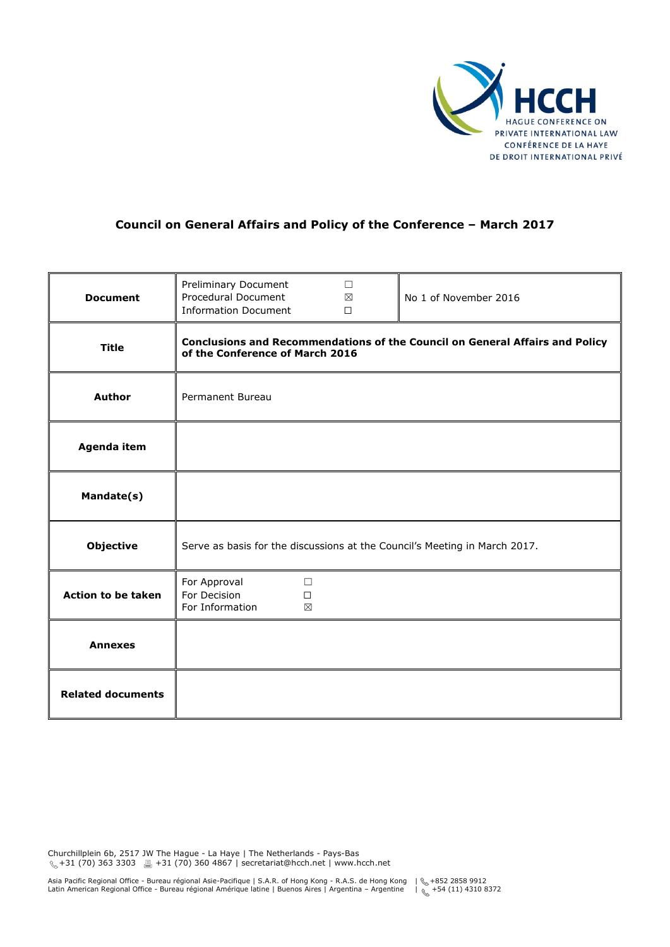

# **Council on General Affairs and Policy of the Conference – March 2017**

| <b>Document</b>           | Preliminary Document<br>Procedural Document<br><b>Information Document</b>                                      | $\Box$<br>$\boxtimes$<br>$\Box$ | No 1 of November 2016 |
|---------------------------|-----------------------------------------------------------------------------------------------------------------|---------------------------------|-----------------------|
| <b>Title</b>              | Conclusions and Recommendations of the Council on General Affairs and Policy<br>of the Conference of March 2016 |                                 |                       |
| <b>Author</b>             | Permanent Bureau                                                                                                |                                 |                       |
| Agenda item               |                                                                                                                 |                                 |                       |
| Mandate(s)                |                                                                                                                 |                                 |                       |
| <b>Objective</b>          | Serve as basis for the discussions at the Council's Meeting in March 2017.                                      |                                 |                       |
| <b>Action to be taken</b> | For Approval<br>$\Box$<br>For Decision<br>$\Box$<br>For Information<br>⊠                                        |                                 |                       |
| <b>Annexes</b>            |                                                                                                                 |                                 |                       |
| <b>Related documents</b>  |                                                                                                                 |                                 |                       |

Churchillplein 6b, 2517 JW The Hague - La Haye | The Netherlands - Pays-Bas  $\chi$  +31 (70) 363 3303 ■ +31 (70) 360 4867 | secretariat@hcch.net | www.hcch.net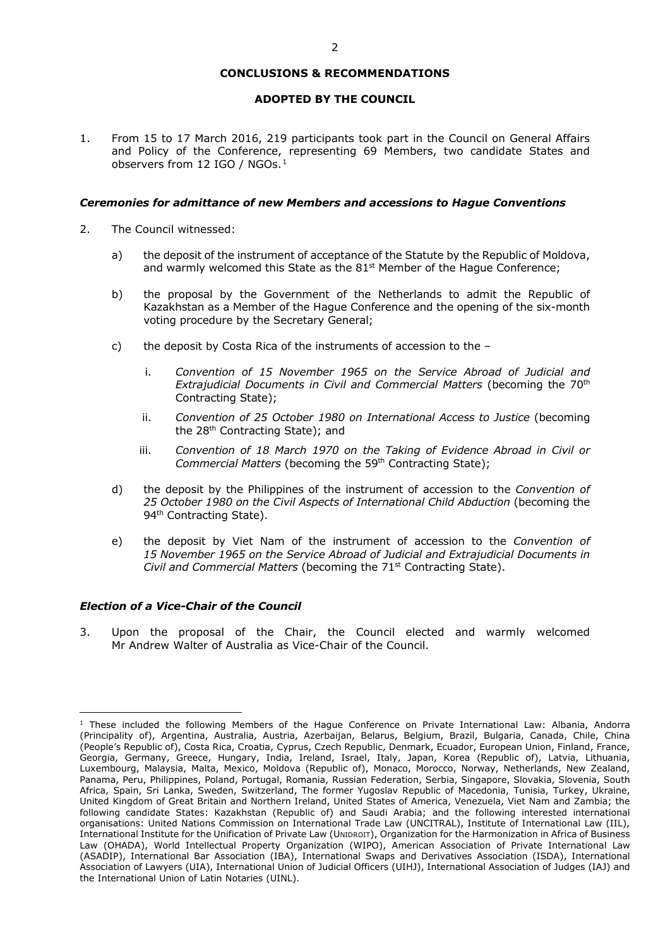#### **CONCLUSIONS & RECOMMENDATIONS**

## **ADOPTED BY THE COUNCIL**

1. From 15 to 17 March 2016, 219 participants took part in the Council on General Affairs and Policy of the Conference, representing 69 Members, two candidate States and observers from [1](#page-1-0)2 IGO / NGOs.<sup>1</sup>

## *Ceremonies for admittance of new Members and accessions to Hague Conventions*

- 2. The Council witnessed:
	- a) the deposit of the instrument of acceptance of the Statute by the Republic of Moldova, and warmly welcomed this State as the  $81<sup>st</sup>$  Member of the Hague Conference;
	- b) the proposal by the Government of the Netherlands to admit the Republic of Kazakhstan as a Member of the Hague Conference and the opening of the six-month voting procedure by the Secretary General;
	- c) the deposit by Costa Rica of the instruments of accession to the
		- i. *Convention of 15 November 1965 on the Service Abroad of Judicial and Extrajudicial Documents in Civil and Commercial Matters* (becoming the 70th Contracting State);
		- ii. *Convention of 25 October 1980 on International Access to Justice* (becoming the 28<sup>th</sup> Contracting State); and
		- iii. *Convention of 18 March 1970 on the Taking of Evidence Abroad in Civil or Commercial Matters* (becoming the 59th Contracting State);
	- d) the deposit by the Philippines of the instrument of accession to the *Convention of 25 October 1980 on the Civil Aspects of International Child Abduction* (becoming the 94<sup>th</sup> Contracting State).
	- e) the deposit by Viet Nam of the instrument of accession to the *Convention of 15 November 1965 on the Service Abroad of Judicial and Extrajudicial Documents in Civil and Commercial Matters* (becoming the 71<sup>st</sup> Contracting State).

## *Election of a Vice-Chair of the Council*

<u>.</u>

3. Upon the proposal of the Chair, the Council elected and warmly welcomed Mr Andrew Walter of Australia as Vice-Chair of the Council.

<span id="page-1-0"></span> $1$  These included the following Members of the Hague Conference on Private International Law: Albania, Andorra (Principality of), Argentina, Australia, Austria, Azerbaijan, Belarus, Belgium, Brazil, Bulgaria, Canada, Chile, China (People's Republic of), Costa Rica, Croatia, Cyprus, Czech Republic, Denmark, Ecuador, European Union, Finland, France, Georgia, Germany, Greece, Hungary, India, Ireland, Israel, Italy, Japan, Korea (Republic of), Latvia, Lithuania, Luxembourg, Malaysia, Malta, Mexico, Moldova (Republic of), Monaco, Morocco, Norway, Netherlands, New Zealand, Panama, Peru, Philippines, Poland, Portugal, Romania, Russian Federation, Serbia, Singapore, Slovakia, Slovenia, South Africa, Spain, Sri Lanka, Sweden, Switzerland, The former Yugoslav Republic of Macedonia, Tunisia, Turkey, Ukraine, United Kingdom of Great Britain and Northern Ireland, United States of America, Venezuela, Viet Nam and Zambia; the following candidate States: Kazakhstan (Republic of) and Saudi Arabia; and the following interested international organisations: United Nations Commission on International Trade Law (UNCITRAL), Institute of International Law (IIL), International Institute for the Unification of Private Law (UNIDROIT), Organization for the Harmonization in Africa of Business Law (OHADA), World Intellectual Property Organization (WIPO), American Association of Private International Law (ASADIP), International Bar Association (IBA), International Swaps and Derivatives Association (ISDA), International Association of Lawyers (UIA), International Union of Judicial Officers (UIHJ), International Association of Judges (IAJ) and the International Union of Latin Notaries (UINL).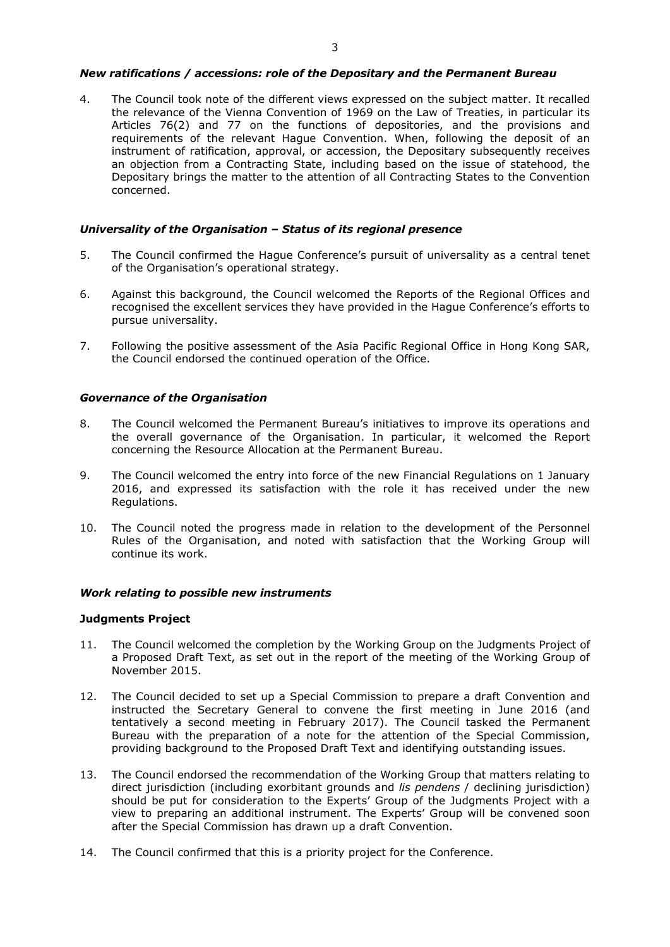#### *New ratifications / accessions: role of the Depositary and the Permanent Bureau*

4. The Council took note of the different views expressed on the subject matter. It recalled the relevance of the Vienna Convention of 1969 on the Law of Treaties, in particular its Articles 76(2) and 77 on the functions of depositories, and the provisions and requirements of the relevant Hague Convention. When, following the deposit of an instrument of ratification, approval, or accession, the Depositary subsequently receives an objection from a Contracting State, including based on the issue of statehood, the Depositary brings the matter to the attention of all Contracting States to the Convention concerned.

# *Universality of the Organisation – Status of its regional presence*

- 5. The Council confirmed the Hague Conference's pursuit of universality as a central tenet of the Organisation's operational strategy.
- 6. Against this background, the Council welcomed the Reports of the Regional Offices and recognised the excellent services they have provided in the Hague Conference's efforts to pursue universality.
- 7. Following the positive assessment of the Asia Pacific Regional Office in Hong Kong SAR, the Council endorsed the continued operation of the Office.

#### *Governance of the Organisation*

- 8. The Council welcomed the Permanent Bureau's initiatives to improve its operations and the overall governance of the Organisation. In particular, it welcomed the Report concerning the Resource Allocation at the Permanent Bureau.
- 9. The Council welcomed the entry into force of the new Financial Regulations on 1 January 2016, and expressed its satisfaction with the role it has received under the new Regulations.
- 10. The Council noted the progress made in relation to the development of the Personnel Rules of the Organisation, and noted with satisfaction that the Working Group will continue its work.

#### *Work relating to possible new instruments*

#### **Judgments Project**

- 11. The Council welcomed the completion by the Working Group on the Judgments Project of a Proposed Draft Text, as set out in the report of the meeting of the Working Group of November 2015.
- 12. The Council decided to set up a Special Commission to prepare a draft Convention and instructed the Secretary General to convene the first meeting in June 2016 (and tentatively a second meeting in February 2017). The Council tasked the Permanent Bureau with the preparation of a note for the attention of the Special Commission, providing background to the Proposed Draft Text and identifying outstanding issues.
- 13. The Council endorsed the recommendation of the Working Group that matters relating to direct jurisdiction (including exorbitant grounds and *lis pendens* / declining jurisdiction) should be put for consideration to the Experts' Group of the Judgments Project with a view to preparing an additional instrument. The Experts' Group will be convened soon after the Special Commission has drawn up a draft Convention.
- 14. The Council confirmed that this is a priority project for the Conference.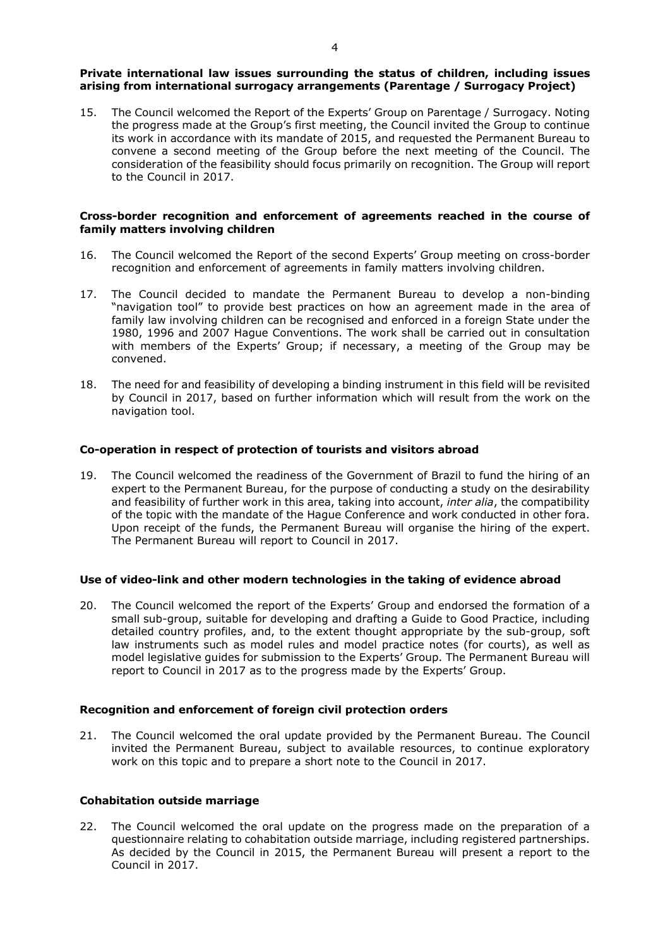## **Private international law issues surrounding the status of children, including issues arising from international surrogacy arrangements (Parentage / Surrogacy Project)**

15. The Council welcomed the Report of the Experts' Group on Parentage / Surrogacy. Noting the progress made at the Group's first meeting, the Council invited the Group to continue its work in accordance with its mandate of 2015, and requested the Permanent Bureau to convene a second meeting of the Group before the next meeting of the Council. The consideration of the feasibility should focus primarily on recognition. The Group will report to the Council in 2017.

## **Cross-border recognition and enforcement of agreements reached in the course of family matters involving children**

- 16. The Council welcomed the Report of the second Experts' Group meeting on cross-border recognition and enforcement of agreements in family matters involving children.
- 17. The Council decided to mandate the Permanent Bureau to develop a non-binding "navigation tool" to provide best practices on how an agreement made in the area of family law involving children can be recognised and enforced in a foreign State under the 1980, 1996 and 2007 Hague Conventions. The work shall be carried out in consultation with members of the Experts' Group; if necessary, a meeting of the Group may be convened.
- 18. The need for and feasibility of developing a binding instrument in this field will be revisited by Council in 2017, based on further information which will result from the work on the navigation tool.

## **Co-operation in respect of protection of tourists and visitors abroad**

19. The Council welcomed the readiness of the Government of Brazil to fund the hiring of an expert to the Permanent Bureau, for the purpose of conducting a study on the desirability and feasibility of further work in this area, taking into account, *inter alia*, the compatibility of the topic with the mandate of the Hague Conference and work conducted in other fora. Upon receipt of the funds, the Permanent Bureau will organise the hiring of the expert. The Permanent Bureau will report to Council in 2017.

## **Use of video-link and other modern technologies in the taking of evidence abroad**

20. The Council welcomed the report of the Experts' Group and endorsed the formation of a small sub-group, suitable for developing and drafting a Guide to Good Practice, including detailed country profiles, and, to the extent thought appropriate by the sub-group, soft law instruments such as model rules and model practice notes (for courts), as well as model legislative guides for submission to the Experts' Group. The Permanent Bureau will report to Council in 2017 as to the progress made by the Experts' Group.

## **Recognition and enforcement of foreign civil protection orders**

21. The Council welcomed the oral update provided by the Permanent Bureau. The Council invited the Permanent Bureau, subject to available resources, to continue exploratory work on this topic and to prepare a short note to the Council in 2017.

## **Cohabitation outside marriage**

22. The Council welcomed the oral update on the progress made on the preparation of a questionnaire relating to cohabitation outside marriage, including registered partnerships. As decided by the Council in 2015, the Permanent Bureau will present a report to the Council in 2017.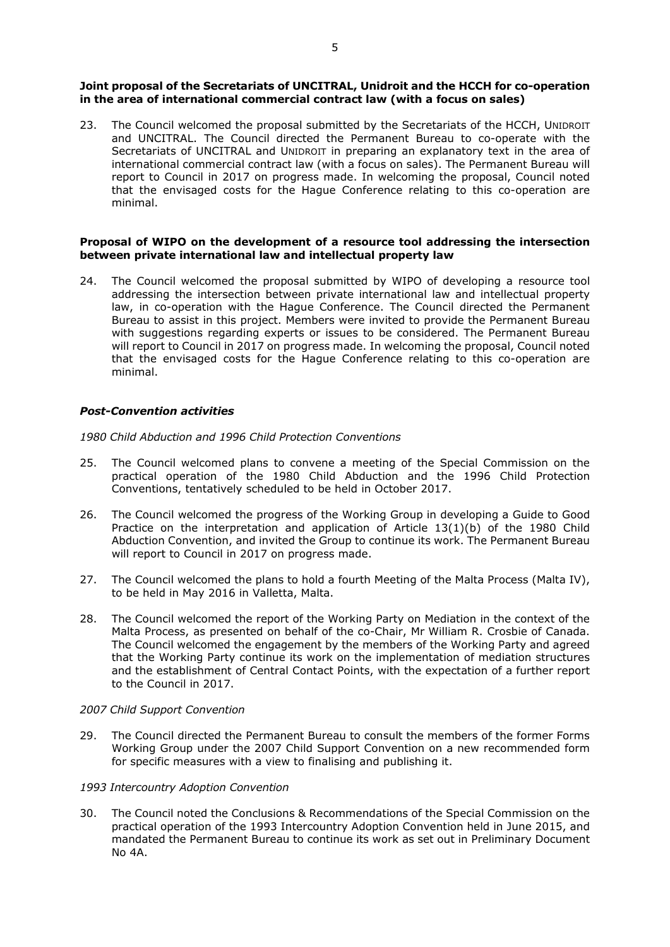## **Joint proposal of the Secretariats of UNCITRAL, Unidroit and the HCCH for co-operation in the area of international commercial contract law (with a focus on sales)**

23. The Council welcomed the proposal submitted by the Secretariats of the HCCH, UNIDROIT and UNCITRAL. The Council directed the Permanent Bureau to co-operate with the Secretariats of UNCITRAL and UNIDROIT in preparing an explanatory text in the area of international commercial contract law (with a focus on sales). The Permanent Bureau will report to Council in 2017 on progress made. In welcoming the proposal, Council noted that the envisaged costs for the Hague Conference relating to this co-operation are minimal.

## **Proposal of WIPO on the development of a resource tool addressing the intersection between private international law and intellectual property law**

24. The Council welcomed the proposal submitted by WIPO of developing a resource tool addressing the intersection between private international law and intellectual property law, in co-operation with the Hague Conference. The Council directed the Permanent Bureau to assist in this project. Members were invited to provide the Permanent Bureau with suggestions regarding experts or issues to be considered. The Permanent Bureau will report to Council in 2017 on progress made. In welcoming the proposal, Council noted that the envisaged costs for the Hague Conference relating to this co-operation are minimal.

# *Post-Convention activities*

*1980 Child Abduction and 1996 Child Protection Conventions*

- 25. The Council welcomed plans to convene a meeting of the Special Commission on the practical operation of the 1980 Child Abduction and the 1996 Child Protection Conventions, tentatively scheduled to be held in October 2017.
- 26. The Council welcomed the progress of the Working Group in developing a Guide to Good Practice on the interpretation and application of Article 13(1)(b) of the 1980 Child Abduction Convention, and invited the Group to continue its work. The Permanent Bureau will report to Council in 2017 on progress made.
- 27. The Council welcomed the plans to hold a fourth Meeting of the Malta Process (Malta IV), to be held in May 2016 in Valletta, Malta.
- 28. The Council welcomed the report of the Working Party on Mediation in the context of the Malta Process, as presented on behalf of the co-Chair, Mr William R. Crosbie of Canada. The Council welcomed the engagement by the members of the Working Party and agreed that the Working Party continue its work on the implementation of mediation structures and the establishment of Central Contact Points, with the expectation of a further report to the Council in 2017.

## *2007 Child Support Convention*

29. The Council directed the Permanent Bureau to consult the members of the former Forms Working Group under the 2007 Child Support Convention on a new recommended form for specific measures with a view to finalising and publishing it.

## *1993 Intercountry Adoption Convention*

30. The Council noted the Conclusions & Recommendations of the Special Commission on the practical operation of the 1993 Intercountry Adoption Convention held in June 2015, and mandated the Permanent Bureau to continue its work as set out in Preliminary Document No 4A.